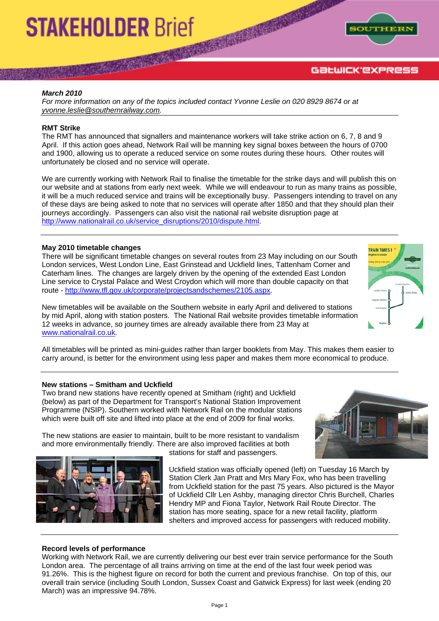# **STAKEHOLDER Brief**



#### *March 2010*

*For more information on any of the topics included contact Yvonne Leslie on 020 8929 8674 or at [yvonne.leslie@southernrailway.com](mailto:yvonne.leslie@southernrailway.com).* 

#### **RMT Strike**

The RMT has announced that signallers and maintenance workers will take strike action on 6, 7, 8 and 9 April. If this action goes ahead, Network Rail will be manning key signal boxes between the hours of 0700 and 1900, allowing us to operate a reduced service on some routes during these hours. Other routes will unfortunately be closed and no service will operate.

We are currently working with Network Rail to finalise the timetable for the strike days and will publish this on our website and at stations from early next week. While we will endeavour to run as many trains as possible, it will be a much reduced service and trains will be exceptionally busy. Passengers intending to travel on any of these days are being asked to note that no services will operate after 1850 and that they should plan their journeys accordingly. Passengers can also visit the national rail website disruption page at [http://www.nationalrail.co.uk/service\\_disruptions/2010/dispute.html](http://www.nationalrail.co.uk/service_disruptions/2010/dispute.html).

#### **May 2010 timetable changes**

There will be significant timetable changes on several routes from 23 May including on our South London services, West London Line, East Grinstead and Uckfield lines, Tattenham Corner and Caterham lines. The changes are largely driven by the opening of the extended East London Line service to Crystal Palace and West Croydon which will more than double capacity on that route -<http://www.tfl.gov.uk/corporate/projectsandschemes/2105.aspx>.

New timetables will be available on the Southern website in early April and delivered to stations by mid April, along with station posters. The National Rail website provides timetable information 12 weeks in advance, so journey times are already available there from 23 May at [www.nationalrail.co.uk](http://www.nationalrail.co.uk/).

All timetables will be printed as mini-guides rather than larger booklets from May. This makes them easier to carry around, is better for the environment using less paper and makes them more economical to produce.

#### **New stations – Smitham and Uckfield**

Two brand new stations have recently opened at Smitham (right) and Uckfield (below) as part of the Department for Transport's National Station Improvement Programme (NSIP). Southern worked with Network Rail on the modular stations which were built off site and lifted into place at the end of 2009 for final works.

The new stations are easier to maintain, built to be more resistant to vandalism and more environmentally friendly. There are also improved facilities at both stations for staff and passengers.



**TOAIN TIMES** 



Uckfield station was officially opened (left) on Tuesday 16 March by Station Clerk Jan Pratt and Mrs Mary Fox, who has been travelling from Uckfield station for the past 75 years. Also pictured is the Mayor of Uckfield Cllr Len Ashby, managing director Chris Burchell, Charles Hendry MP and Fiona Taylor, Network Rail Route Director. The station has more seating, space for a new retail facility, platform shelters and improved access for passengers with reduced mobility.

#### **Record levels of performance**

Working with Network Rail, we are currently delivering our best ever train service performance for the South London area. The percentage of all trains arriving on time at the end of the last four week period was 91.26%. This is the highest figure on record for both the current and previous franchise. On top of this, our overall train service (including South London, Sussex Coast and Gatwick Express) for last week (ending 20 March) was an impressive 94.78%.